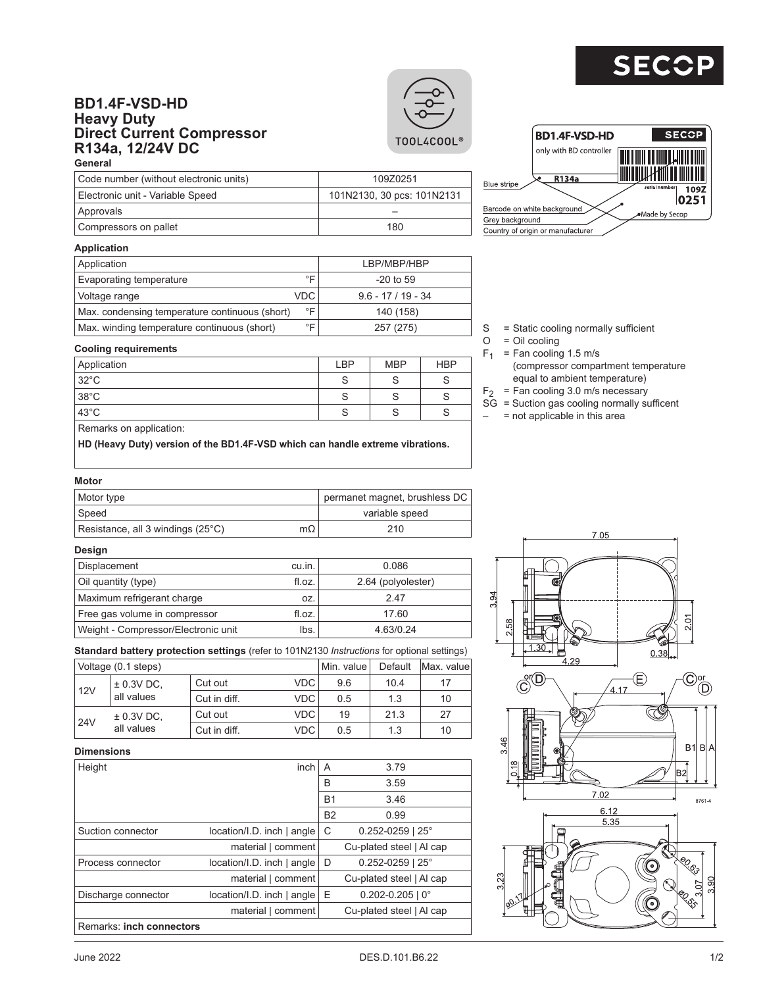# **SE**

# **BD1.4F-VSD-HD Heavy Duty Direct Current Compressor R134a, 12/24V DC General**





## **Application**

**Approvals** 

| Application                                    |                    | LBP/MBP/HBP        |
|------------------------------------------------|--------------------|--------------------|
| Evaporating temperature                        | ∘⊏                 | $-20$ to 59        |
| Voltage range                                  | <b>VDC</b>         | $9.6 - 17/19 - 34$ |
| Max. condensing temperature continuous (short) | $\circ \mathsf{F}$ | 140 (158)          |
| Max. winding temperature continuous (short)    | ∘⊏                 | 257 (275)          |

Application **LBP** MBP HBP 32°C S S S 38°C S S S 43°C S S S

Electronic unit - Variable Speed 101N2130, 30 pcs: 101N2131

Code number (without electronic units) 109Z0251

Compressors on pallet 180

# $S =$ Static cooling normally sufficient<br>O = Oil cooling

- = Oil cooling
- $F_1$  = Fan cooling 1.5 m/s
	- (compressor compartment temperature equal to ambient temperature)
	- $F<sub>2</sub>$  = Fan cooling 3.0 m/s necessary
	- $S\bar{G}$  = Suction gas cooling normally sufficent
	- $-$  = not applicable in this area

#### Remarks on application:

**Cooling requirements**

**HD (Heavy Duty) version of the BD1.4F-VSD which can handle extreme vibrations.**

# **Motor**

| Motor type                        |    | permanet magnet, brushless DC |
|-----------------------------------|----|-------------------------------|
| Speed                             |    | variable speed                |
| Resistance, all 3 windings (25°C) | mΩ | 210                           |

#### **Design**

| Displacement                        | cu.in. | 0.086              |
|-------------------------------------|--------|--------------------|
| Oil quantity (type)                 | fl.oz. | 2.64 (polyolester) |
| Maximum refrigerant charge          | OZ.    | 247                |
| Free gas volume in compressor       | fl.oz. | 17.60              |
| Weight - Compressor/Electronic unit | lbs.   | 4.63/0.24          |

**Standard battery protection settings** (refer to 101N2130 *Instructions* for optional settings)

|                       | Voltage (0.1 steps)                             |                  |            | Min. value l | Default | Max. valuel |
|-----------------------|-------------------------------------------------|------------------|------------|--------------|---------|-------------|
| $\pm$ 0.3V DC.<br>12V | Cut out                                         | VDC <sup>'</sup> | 9.6        | 10.4         | 17      |             |
|                       | all values                                      | Cut in diff.     | VDC.       | 0.5          | 1.3     | 10          |
|                       | $\pm$ 0.3V DC,<br>24 <sub>V</sub><br>all values | Cut out          | VDC.       | 19           | 21.3    | 27          |
|                       |                                                 | Cut in diff.     | <b>VDC</b> | 0.5          | 1.3     | 10          |

### **Dimensions**

| pouvisusis               |                            |           |                          |
|--------------------------|----------------------------|-----------|--------------------------|
| Height                   | inch                       | A         | 3.79                     |
|                          |                            | B         | 3.59                     |
|                          |                            | <b>B1</b> | 3.46                     |
|                          |                            | <b>B2</b> | 0.99                     |
| Suction connector        | location/I.D. inch   angle | С         | $0.252 - 0259$   25°     |
|                          | material   comment         |           | Cu-plated steel   Al cap |
| Process connector        | location/I.D. inch   angle | D         | $0.252 - 0259$   25°     |
|                          | material   comment         |           | Cu-plated steel   Al cap |
| Discharge connector      | location/I.D. inch   angle | Ε         | $0.202 - 0.205$   0°     |
|                          | material   comment         |           | Cu-plated steel   Al cap |
| Remarks: inch connectors |                            |           |                          |